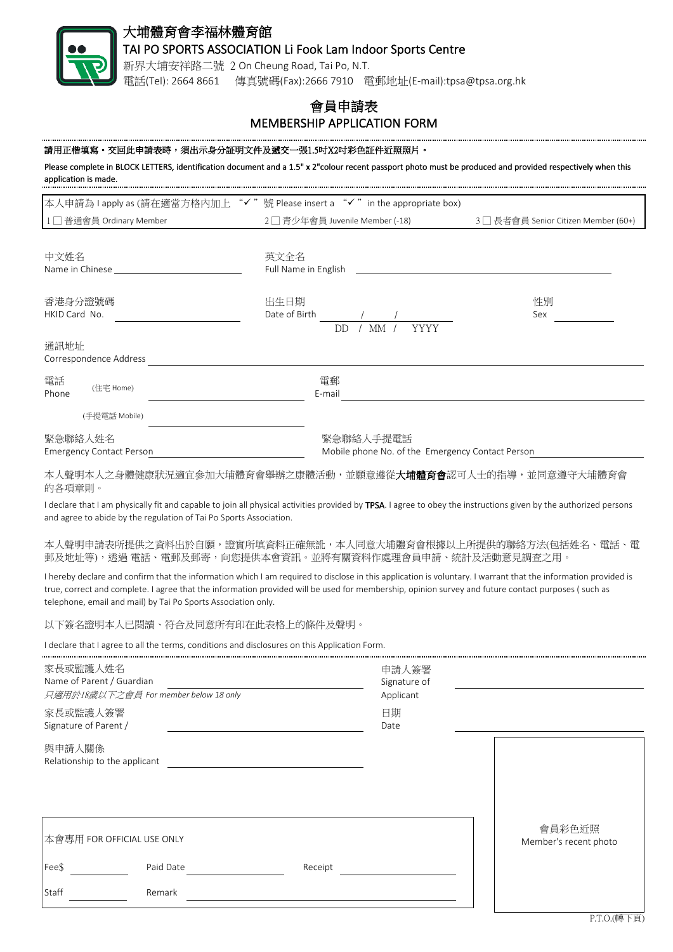

# 大埔體育會李福林體育館

## TAI PO SPORTS ASSOCIATION Li Fook Lam Indoor Sports Centre

新界大埔安祥路二號 2 On Cheung Road, Tai Po, N.T. 電話(Tel): 2664 8661 傳真號碼(Fax):2666 7910 電郵地址(E-mail):tpsa@tpsa.org.hk

# 會員申請表 MEMBERSHIP APPLICATION FORM

#### 請用正楷填寫。交回此申請表時,須出示身分証明文件及遞交一張1.5吋X2吋彩色証件近照照片。

Please complete in BLOCK LETTERS, identification document and a 1.5" x 2"colour recent passport photo must be produced and provided respectively when this application is made.

| 本人申請為 I apply as (請在適當方格內加上 "✓"號 Please insert a "✓" in the appropriate box)        |                               |                                      |  |  |
|-------------------------------------------------------------------------------------|-------------------------------|--------------------------------------|--|--|
| 1□普通會員 Ordinary Member                                                              | 2□青少年會員 Juvenile Member (-18) | 3 □ 長者會員 Senior Citizen Member (60+) |  |  |
|                                                                                     |                               |                                      |  |  |
| 中文姓名                                                                                | 英文全名                          |                                      |  |  |
| Name in Chinese <b>Name is a structure of the Chinese</b>                           | Full Name in English          |                                      |  |  |
| 香港身分證號碼                                                                             | 出生日期                          | 性別                                   |  |  |
| HKID Card No.                                                                       | Date of Birth                 | Sex                                  |  |  |
|                                                                                     | YYYY<br>DD.<br>МM             |                                      |  |  |
| 通訊地址                                                                                |                               |                                      |  |  |
| Correspondence Address                                                              |                               |                                      |  |  |
| 電話<br>(住宅 Home)<br>Phone                                                            | 電郵<br>E-mail                  |                                      |  |  |
|                                                                                     |                               |                                      |  |  |
| (手提電話 Mobile)                                                                       |                               |                                      |  |  |
| 緊急聯絡人姓名                                                                             | 緊急聯絡人手提電話                     |                                      |  |  |
| Mobile phone No. of the Emergency Contact Person<br><b>Emergency Contact Person</b> |                               |                                      |  |  |

本人聲明本人之身體健康狀況適宜參加大埔體育會舉辦之康體活動,並願意遵從**大埔體育會**認可人士的指導,並同意遵守大埔體育會 的各項章則。

I declare that I am physically fit and capable to join all physical activities provided by TPSA. I agree to obey the instructions given by the authorized persons and agree to abide by the regulation of Tai Po Sports Association.

本人聲明申請表所提供之資料出於自願,證實所填資料正確無訛,本人同意大埔體育會根據以上所提供的聯絡方法(包括姓名、電話、電 郵及地址等),透過 電話、電郵及郵寄,向您提供本會資訊。並將有關資料作處理會員申請、統計及活動意見調查之用。

I hereby declare and confirm that the information which I am required to disclose in this application is voluntary. I warrant that the information provided is true, correct and complete. I agree that the information provided will be used for membership, opinion survey and future contact purposes ( such as telephone, email and mail) by Tai Po Sports Association only.

以下簽名證明本人已閱讀、符合及同意所有印在此表格上的條件及聲明。

I declare that I agree to all the terms, conditions and disclosures on this Application Form.

| 家長或監護人姓名<br>Name of Parent / Guardian<br>只適用於18歲以下之會員 For member below 18 only |           |         | 申請人簽署<br>Signature of<br>Applicant |                                 |
|--------------------------------------------------------------------------------|-----------|---------|------------------------------------|---------------------------------|
| 家長或監護人簽署<br>Signature of Parent /                                              |           |         | 日期<br>Date                         |                                 |
| 與申請人關係<br>Relationship to the applicant                                        |           |         |                                    |                                 |
| 本會專用 FOR OFFICIAL USE ONLY                                                     |           |         |                                    | 會員彩色近照<br>Member's recent photo |
| Fee\$                                                                          | Paid Date | Receipt |                                    |                                 |
| Staff                                                                          | Remark    |         |                                    |                                 |